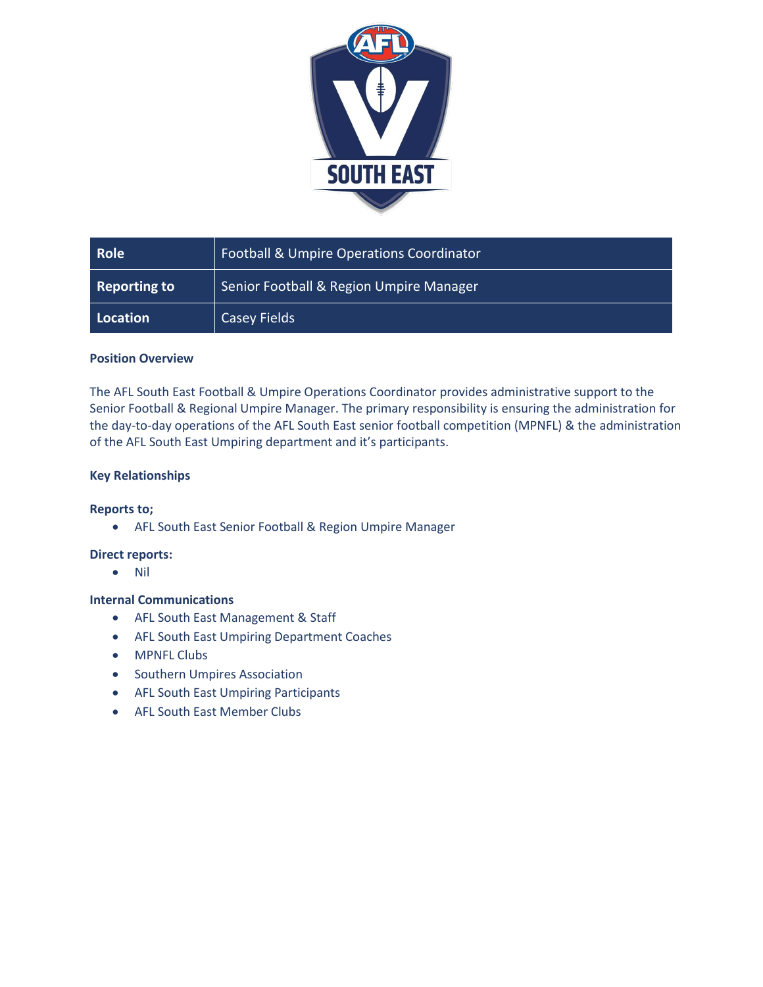

| <b>Role</b>         | <b>Football &amp; Umpire Operations Coordinator</b> |
|---------------------|-----------------------------------------------------|
| <b>Reporting to</b> | Senior Football & Region Umpire Manager             |
| Location            | Casey Fields                                        |

## **Position Overview**

The AFL South East Football & Umpire Operations Coordinator provides administrative support to the Senior Football & Regional Umpire Manager. The primary responsibility is ensuring the administration for the day-to-day operations of the AFL South East senior football competition (MPNFL) & the administration of the AFL South East Umpiring department and it's participants.

# **Key Relationships**

## **Reports to;**

• AFL South East Senior Football & Region Umpire Manager

## **Direct reports:**

• Nil

## **Internal Communications**

- AFL South East Management & Staff
- AFL South East Umpiring Department Coaches
- MPNFL Clubs
- Southern Umpires Association
- AFL South East Umpiring Participants
- AFL South East Member Clubs